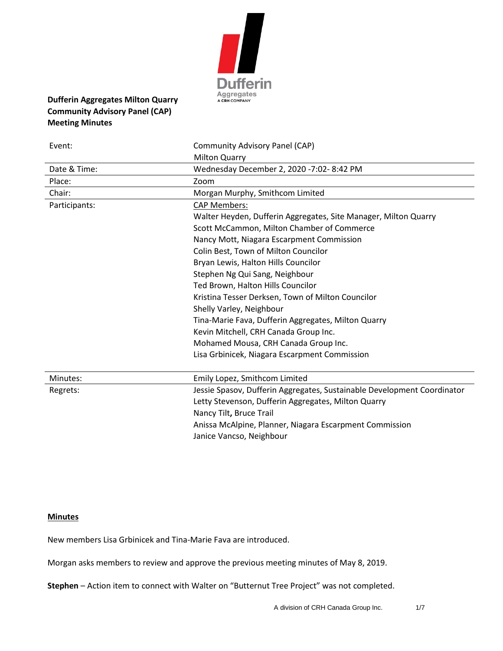

# **Dufferin Aggregates Milton Quarry Community Advisory Panel (CAP) Meeting Minutes**

| Event:        | Community Advisory Panel (CAP)                                          |
|---------------|-------------------------------------------------------------------------|
|               | <b>Milton Quarry</b>                                                    |
| Date & Time:  | Wednesday December 2, 2020 -7:02-8:42 PM                                |
| Place:        | Zoom                                                                    |
| Chair:        | Morgan Murphy, Smithcom Limited                                         |
| Participants: | <b>CAP Members:</b>                                                     |
|               | Walter Heyden, Dufferin Aggregates, Site Manager, Milton Quarry         |
|               | Scott McCammon, Milton Chamber of Commerce                              |
|               | Nancy Mott, Niagara Escarpment Commission                               |
|               | Colin Best, Town of Milton Councilor                                    |
|               | Bryan Lewis, Halton Hills Councilor                                     |
|               | Stephen Ng Qui Sang, Neighbour                                          |
|               | Ted Brown, Halton Hills Councilor                                       |
|               | Kristina Tesser Derksen, Town of Milton Councilor                       |
|               | Shelly Varley, Neighbour                                                |
|               | Tina-Marie Fava, Dufferin Aggregates, Milton Quarry                     |
|               | Kevin Mitchell, CRH Canada Group Inc.                                   |
|               | Mohamed Mousa, CRH Canada Group Inc.                                    |
|               | Lisa Grbinicek, Niagara Escarpment Commission                           |
| Minutes:      | Emily Lopez, Smithcom Limited                                           |
| Regrets:      | Jessie Spasov, Dufferin Aggregates, Sustainable Development Coordinator |
|               | Letty Stevenson, Dufferin Aggregates, Milton Quarry                     |
|               | Nancy Tilt, Bruce Trail                                                 |
|               | Anissa McAlpine, Planner, Niagara Escarpment Commission                 |
|               | Janice Vancso, Neighbour                                                |

## **Minutes**

New members Lisa Grbinicek and Tina-Marie Fava are introduced.

Morgan asks members to review and approve the previous meeting minutes of May 8, 2019.

**Stephen** – Action item to connect with Walter on "Butternut Tree Project" was not completed.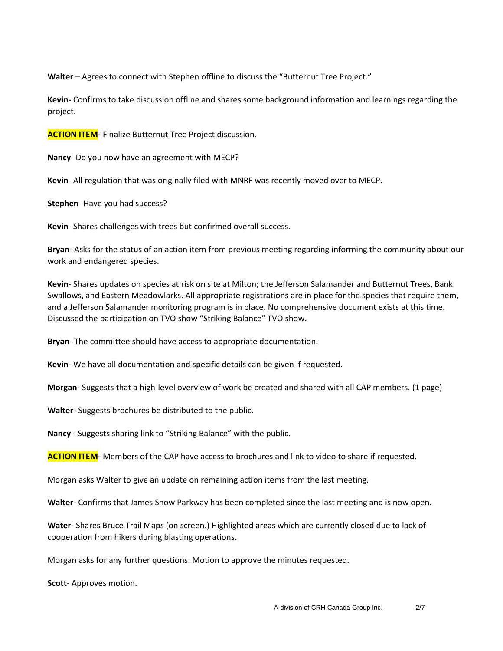**Walter** – Agrees to connect with Stephen offline to discuss the "Butternut Tree Project."

**Kevin-** Confirms to take discussion offline and shares some background information and learnings regarding the project.

**ACTION ITEM-** Finalize Butternut Tree Project discussion.

**Nancy**- Do you now have an agreement with MECP?

**Kevin**- All regulation that was originally filed with MNRF was recently moved over to MECP.

**Stephen**- Have you had success?

**Kevin**- Shares challenges with trees but confirmed overall success.

**Bryan**- Asks for the status of an action item from previous meeting regarding informing the community about our work and endangered species.

**Kevin**- Shares updates on species at risk on site at Milton; the Jefferson Salamander and Butternut Trees, Bank Swallows, and Eastern Meadowlarks. All appropriate registrations are in place for the species that require them, and a Jefferson Salamander monitoring program is in place. No comprehensive document exists at this time. Discussed the participation on TVO show "Striking Balance" TVO show.

**Bryan**- The committee should have access to appropriate documentation.

**Kevin-** We have all documentation and specific details can be given if requested.

**Morgan-** Suggests that a high-level overview of work be created and shared with all CAP members. (1 page)

**Walter-** Suggests brochures be distributed to the public.

**Nancy** - Suggests sharing link to "Striking Balance" with the public.

**ACTION ITEM-** Members of the CAP have access to brochures and link to video to share if requested.

Morgan asks Walter to give an update on remaining action items from the last meeting.

**Walter-** Confirms that James Snow Parkway has been completed since the last meeting and is now open.

**Water-** Shares Bruce Trail Maps (on screen.) Highlighted areas which are currently closed due to lack of cooperation from hikers during blasting operations.

Morgan asks for any further questions. Motion to approve the minutes requested.

**Scott**- Approves motion.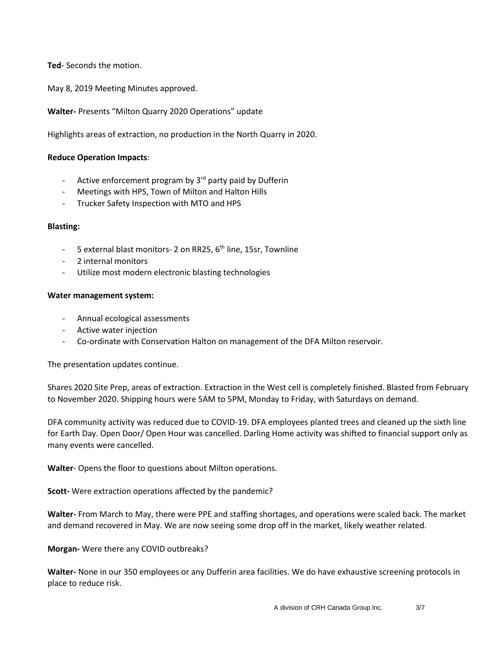**Ted**- Seconds the motion.

May 8, 2019 Meeting Minutes approved.

**Walter-** Presents "Milton Quarry 2020 Operations" update

Highlights areas of extraction, no production in the North Quarry in 2020.

## **Reduce Operation Impacts**:

- Active enforcement program by  $3^{rd}$  party paid by Dufferin
- Meetings with HPS, Town of Milton and Halton Hills
- Trucker Safety Inspection with MTO and HPS

### **Blasting:**

- 5 external blast monitors- 2 on RR25, 6<sup>th</sup> line, 15sr, Townline
- 2 internal monitors
- Utilize most modern electronic blasting technologies

### **Water management system:**

- Annual ecological assessments
- Active water injection
- Co-ordinate with Conservation Halton on management of the DFA Milton reservoir.

The presentation updates continue.

Shares 2020 Site Prep, areas of extraction. Extraction in the West cell is completely finished. Blasted from February to November 2020. Shipping hours were 5AM to 5PM, Monday to Friday, with Saturdays on demand.

DFA community activity was reduced due to COVID-19. DFA employees planted trees and cleaned up the sixth line for Earth Day. Open Door/ Open Hour was cancelled. Darling Home activity was shifted to financial support only as many events were cancelled.

**Walter**- Opens the floor to questions about Milton operations.

**Scott-** Were extraction operations affected by the pandemic?

**Walter-** From March to May, there were PPE and staffing shortages, and operations were scaled back. The market and demand recovered in May. We are now seeing some drop off in the market, likely weather related.

## **Morgan-** Were there any COVID outbreaks?

**Walter-** None in our 350 employees or any Dufferin area facilities. We do have exhaustive screening protocols in place to reduce risk.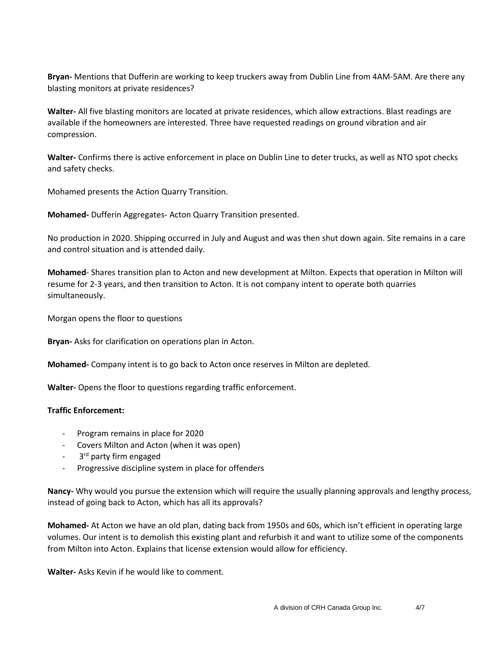**Bryan-** Mentions that Dufferin are working to keep truckers away from Dublin Line from 4AM-5AM. Are there any blasting monitors at private residences?

**Walter-** All five blasting monitors are located at private residences, which allow extractions. Blast readings are available if the homeowners are interested. Three have requested readings on ground vibration and air compression.

**Walter-** Confirms there is active enforcement in place on Dublin Line to deter trucks, as well as NTO spot checks and safety checks.

Mohamed presents the Action Quarry Transition.

**Mohamed-** Dufferin Aggregates- Acton Quarry Transition presented.

No production in 2020. Shipping occurred in July and August and was then shut down again. Site remains in a care and control situation and is attended daily.

**Mohamed**- Shares transition plan to Acton and new development at Milton. Expects that operation in Milton will resume for 2-3 years, and then transition to Acton. It is not company intent to operate both quarries simultaneously.

Morgan opens the floor to questions

**Bryan-** Asks for clarification on operations plan in Acton.

**Mohamed-** Company intent is to go back to Acton once reserves in Milton are depleted.

**Walter-** Opens the floor to questions regarding traffic enforcement.

## **Traffic Enforcement:**

- Program remains in place for 2020
- Covers Milton and Acton (when it was open)
- 3<sup>rd</sup> party firm engaged
- Progressive discipline system in place for offenders

**Nancy-** Why would you pursue the extension which will require the usually planning approvals and lengthy process, instead of going back to Acton, which has all its approvals?

**Mohamed-** At Acton we have an old plan, dating back from 1950s and 60s, which isn't efficient in operating large volumes. Our intent is to demolish this existing plant and refurbish it and want to utilize some of the components from Milton into Acton. Explains that license extension would allow for efficiency.

**Walter-** Asks Kevin if he would like to comment.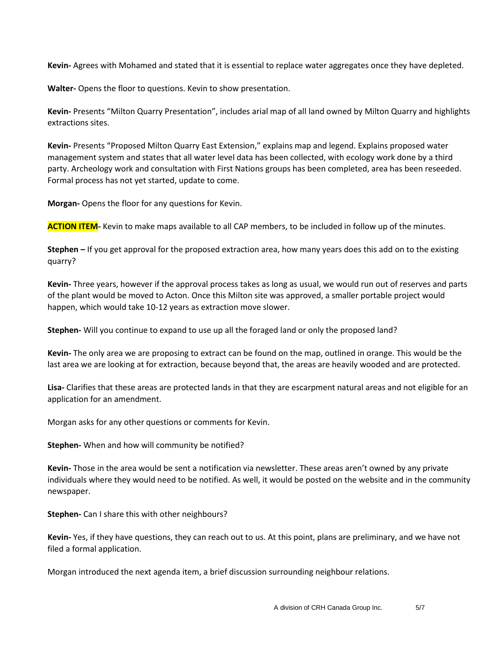**Kevin-** Agrees with Mohamed and stated that it is essential to replace water aggregates once they have depleted.

**Walter-** Opens the floor to questions. Kevin to show presentation.

**Kevin-** Presents "Milton Quarry Presentation", includes arial map of all land owned by Milton Quarry and highlights extractions sites.

**Kevin-** Presents "Proposed Milton Quarry East Extension," explains map and legend. Explains proposed water management system and states that all water level data has been collected, with ecology work done by a third party. Archeology work and consultation with First Nations groups has been completed, area has been reseeded. Formal process has not yet started, update to come.

**Morgan-** Opens the floor for any questions for Kevin.

**ACTION ITEM-** Kevin to make maps available to all CAP members, to be included in follow up of the minutes.

**Stephen –** If you get approval for the proposed extraction area, how many years does this add on to the existing quarry?

**Kevin-** Three years, however if the approval process takes as long as usual, we would run out of reserves and parts of the plant would be moved to Acton. Once this Milton site was approved, a smaller portable project would happen, which would take 10-12 years as extraction move slower.

**Stephen-** Will you continue to expand to use up all the foraged land or only the proposed land?

**Kevin-** The only area we are proposing to extract can be found on the map, outlined in orange. This would be the last area we are looking at for extraction, because beyond that, the areas are heavily wooded and are protected.

**Lisa-** Clarifies that these areas are protected lands in that they are escarpment natural areas and not eligible for an application for an amendment.

Morgan asks for any other questions or comments for Kevin.

**Stephen-** When and how will community be notified?

**Kevin-** Those in the area would be sent a notification via newsletter. These areas aren't owned by any private individuals where they would need to be notified. As well, it would be posted on the website and in the community newspaper.

**Stephen-** Can I share this with other neighbours?

**Kevin-** Yes, if they have questions, they can reach out to us. At this point, plans are preliminary, and we have not filed a formal application.

Morgan introduced the next agenda item, a brief discussion surrounding neighbour relations.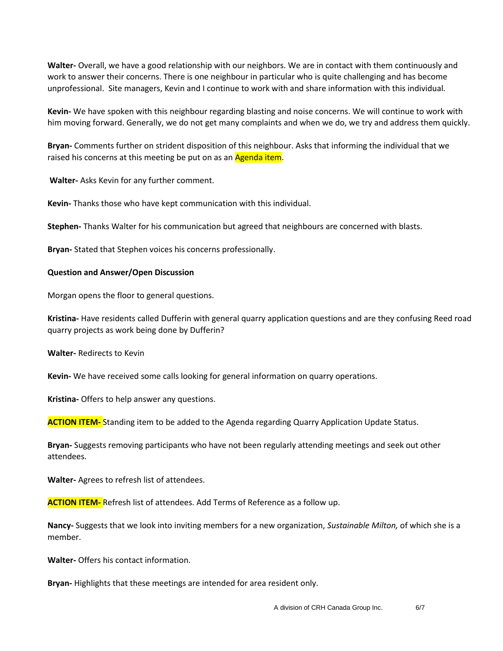**Walter-** Overall, we have a good relationship with our neighbors. We are in contact with them continuously and work to answer their concerns. There is one neighbour in particular who is quite challenging and has become unprofessional. Site managers, Kevin and I continue to work with and share information with this individual.

**Kevin-** We have spoken with this neighbour regarding blasting and noise concerns. We will continue to work with him moving forward. Generally, we do not get many complaints and when we do, we try and address them quickly.

**Bryan-** Comments further on strident disposition of this neighbour. Asks that informing the individual that we raised his concerns at this meeting be put on as an Agenda item.

**Walter-** Asks Kevin for any further comment.

**Kevin-** Thanks those who have kept communication with this individual.

**Stephen-** Thanks Walter for his communication but agreed that neighbours are concerned with blasts.

**Bryan-** Stated that Stephen voices his concerns professionally.

#### **Question and Answer/Open Discussion**

Morgan opens the floor to general questions.

**Kristina-** Have residents called Dufferin with general quarry application questions and are they confusing Reed road quarry projects as work being done by Dufferin?

**Walter-** Redirects to Kevin

**Kevin-** We have received some calls looking for general information on quarry operations.

**Kristina-** Offers to help answer any questions.

**ACTION ITEM-** Standing item to be added to the Agenda regarding Quarry Application Update Status.

**Bryan-** Suggests removing participants who have not been regularly attending meetings and seek out other attendees.

**Walter-** Agrees to refresh list of attendees.

**ACTION ITEM-** Refresh list of attendees. Add Terms of Reference as a follow up.

**Nancy-** Suggests that we look into inviting members for a new organization, *Sustainable Milton,* of which she is a member.

**Walter-** Offers his contact information.

**Bryan-** Highlights that these meetings are intended for area resident only.